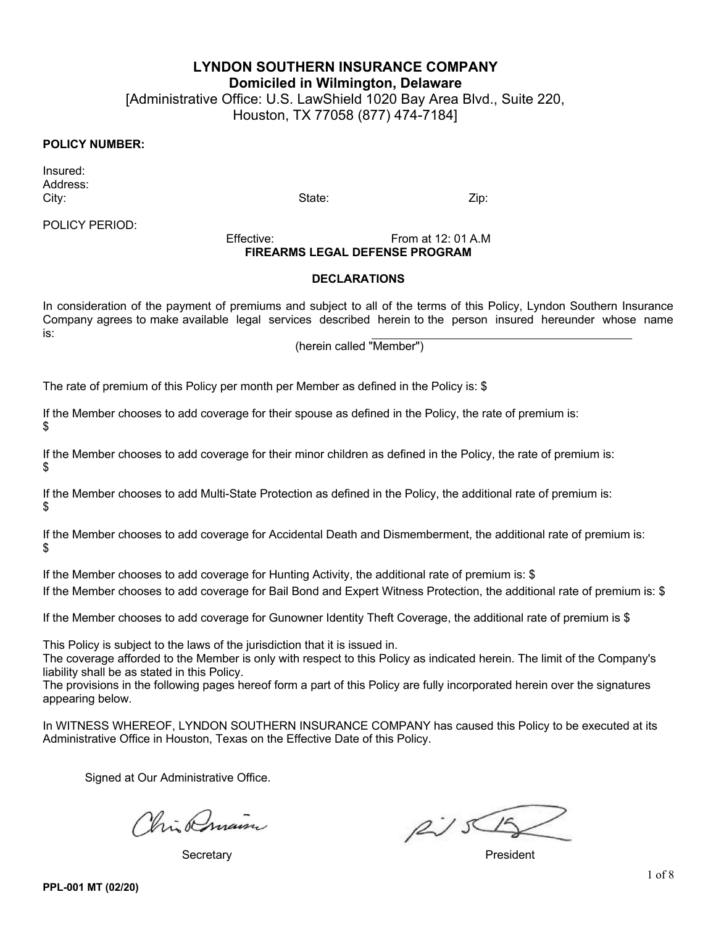**LYNDON SOUTHERN INSURANCE COMPANY**

**Domiciled in Wilmington, Delaware**

[Administrative Office: U.S. LawShield 1020 Bay Area Blvd., Suite 220, Houston, TX 77058 (877) 474-7184]

### **POLICY NUMBER:**

Insured: Address: City: State: Zip:

POLICY PERIOD:

Effective: From at 12: 01 A.M **FIREARMS LEGAL DEFENSE PROGRAM** 

#### **DECLARATIONS**

In consideration of the payment of premiums and subject to all of the terms of this Policy, Lyndon Southern Insurance Company agrees to make available legal services described herein to the person insured hereunder whose name is:

(herein called "Member")

The rate of premium of this Policy per month per Member as defined in the Policy is: \$

If the Member chooses to add coverage for their spouse as defined in the Policy, the rate of premium is: \$

If the Member chooses to add coverage for their minor children as defined in the Policy, the rate of premium is: \$

If the Member chooses to add Multi-State Protection as defined in the Policy, the additional rate of premium is: \$

If the Member chooses to add coverage for Accidental Death and Dismemberment, the additional rate of premium is: \$

If the Member chooses to add coverage for Hunting Activity, the additional rate of premium is: \$ If the Member chooses to add coverage for Bail Bond and Expert Witness Protection, the additional rate of premium is: \$

If the Member chooses to add coverage for Gunowner Identity Theft Coverage, the additional rate of premium is \$

This Policy is subject to the laws of the jurisdiction that it is issued in.

The coverage afforded to the Member is only with respect to this Policy as indicated herein. The limit of the Company's liability shall be as stated in this Policy.

The provisions in the following pages hereof form a part of this Policy are fully incorporated herein over the signatures appearing below.

In WITNESS WHEREOF, LYNDON SOUTHERN INSURANCE COMPANY has caused this Policy to be executed at its Administrative Office in Houston, Texas on the Effective Date of this Policy.

Signed at Our Administrative Office.

his Amain

Secretary **President** 

 $f\rightarrow f$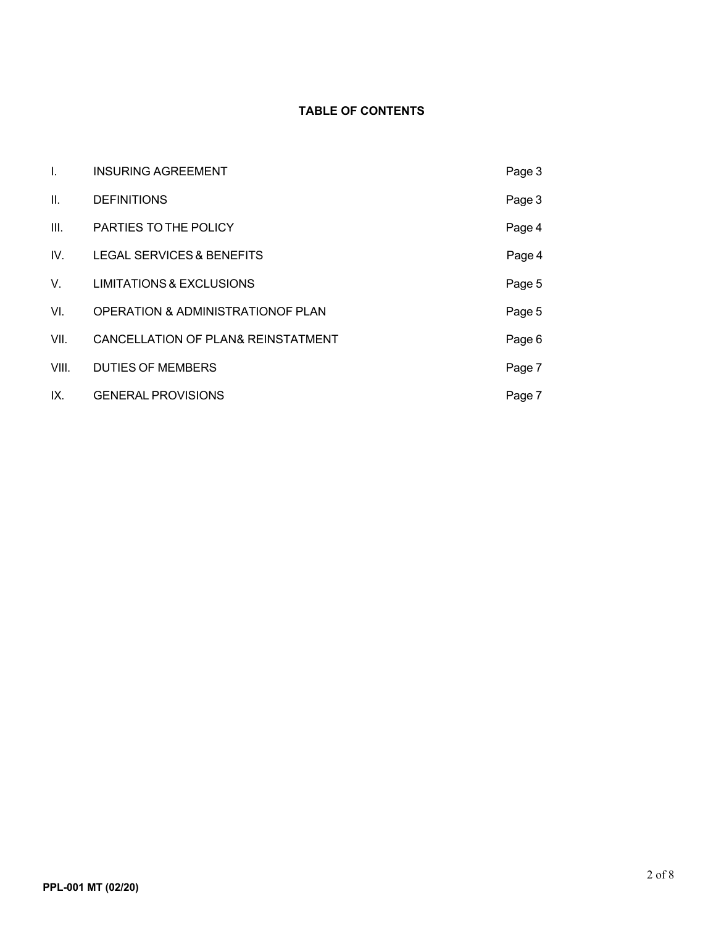## **TABLE OF CONTENTS**

| Ι.    | <b>INSURING AGREEMENT</b>                    | Page 3 |
|-------|----------------------------------------------|--------|
| Ш.    | <b>DEFINITIONS</b>                           | Page 3 |
| III.  | PARTIES TO THE POLICY                        | Page 4 |
| IV.   | <b>LEGAL SERVICES &amp; BENEFITS</b>         | Page 4 |
| V.    | <b>LIMITATIONS &amp; EXCLUSIONS</b>          | Page 5 |
| VI.   | <b>OPERATION &amp; ADMINISTRATIONOF PLAN</b> | Page 5 |
| VII.  | CANCELLATION OF PLAN& REINSTATMENT           | Page 6 |
| VIII. | <b>DUTIES OF MEMBERS</b>                     | Page 7 |
| IX.   | <b>GENERAL PROVISIONS</b>                    | Page 7 |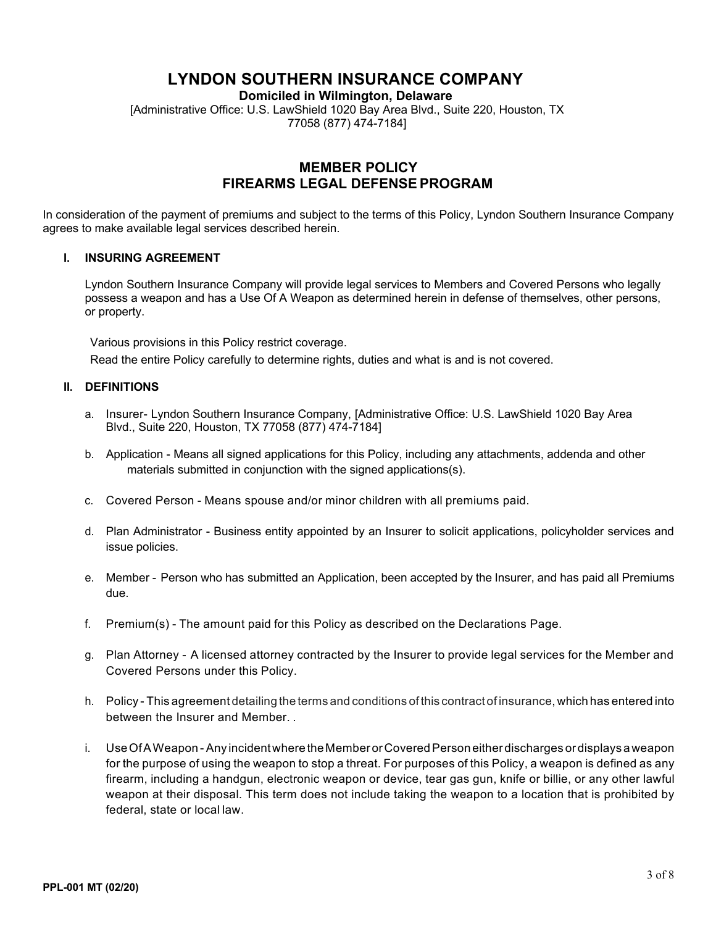# **LYNDON SOUTHERN INSURANCE COMPANY**

**Domiciled in Wilmington, Delaware**

[Administrative Office: U.S. LawShield 1020 Bay Area Blvd., Suite 220, Houston, TX 77058 (877) 474-7184]

### **MEMBER POLICY FIREARMS LEGAL DEFENSE PROGRAM**

In consideration of the payment of premiums and subject to the terms of this Policy, Lyndon Southern Insurance Company agrees to make available legal services described herein.

### **I. INSURING AGREEMENT**

Lyndon Southern Insurance Company will provide legal services to Members and Covered Persons who legally possess a weapon and has a Use Of A Weapon as determined herein in defense of themselves, other persons, or property.

Various provisions in this Policy restrict coverage.

Read the entire Policy carefully to determine rights, duties and what is and is not covered.

### **II. DEFINITIONS**

- a. Insurer- Lyndon Southern Insurance Company, [Administrative Office: U.S. LawShield 1020 Bay Area Blvd., Suite 220, Houston, TX 77058 (877) 474-7184]
- b. Application Means all signed applications for this Policy, including any attachments, addenda and other materials submitted in conjunction with the signed applications(s).
- c. Covered Person Means spouse and/or minor children with all premiums paid.
- d. Plan Administrator Business entity appointed by an Insurer to solicit applications, policyholder services and issue policies.
- e. Member Person who has submitted an Application, been accepted by the Insurer, and has paid all Premiums due.
- f. Premium(s) The amount paid for this Policy as described on the Declarations Page.
- g. Plan Attorney A licensed attorney contracted by the Insurer to provide legal services for the Member and Covered Persons under this Policy.
- h. Policy This agreement detailing the terms and conditions of this contract of insurance, which has entered into between the Insurer and Member. .
- i. Use Of A Weapon Any incident where the Member or Covered Person either discharges or displays a weapon for the purpose of using the weapon to stop a threat. For purposes of this Policy, a weapon is defined as any firearm, including a handgun, electronic weapon or device, tear gas gun, knife or billie, or any other lawful weapon at their disposal. This term does not include taking the weapon to a location that is prohibited by federal, state or local law.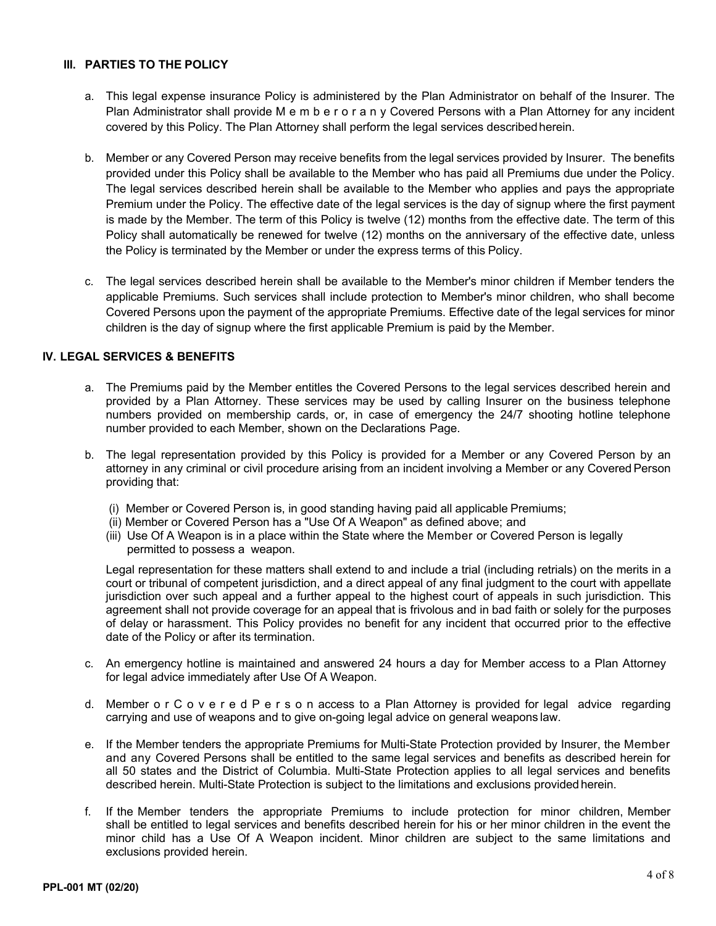### **III. PARTIES TO THE POLICY**

- a. This legal expense insurance Policy is administered by the Plan Administrator on behalf of the Insurer. The Plan Administrator shall provide M e m b e r o r a n y Covered Persons with a Plan Attorney for any incident covered by this Policy. The Plan Attorney shall perform the legal services describedherein.
- b. Member or any Covered Person may receive benefits from the legal services provided by Insurer. The benefits provided under this Policy shall be available to the Member who has paid all Premiums due under the Policy. The legal services described herein shall be available to the Member who applies and pays the appropriate Premium under the Policy. The effective date of the legal services is the day of signup where the first payment is made by the Member. The term of this Policy is twelve (12) months from the effective date. The term of this Policy shall automatically be renewed for twelve (12) months on the anniversary of the effective date, unless the Policy is terminated by the Member or under the express terms of this Policy.
- c. The legal services described herein shall be available to the Member's minor children if Member tenders the applicable Premiums. Such services shall include protection to Member's minor children, who shall become Covered Persons upon the payment of the appropriate Premiums. Effective date of the legal services for minor children is the day of signup where the first applicable Premium is paid by the Member.

### **IV. LEGAL SERVICES & BENEFITS**

- a. The Premiums paid by the Member entitles the Covered Persons to the legal services described herein and provided by a Plan Attorney. These services may be used by calling Insurer on the business telephone numbers provided on membership cards, or, in case of emergency the 24/7 shooting hotline telephone number provided to each Member, shown on the Declarations Page.
- b. The legal representation provided by this Policy is provided for a Member or any Covered Person by an attorney in any criminal or civil procedure arising from an incident involving a Member or any Covered Person providing that:
	- (i) Member or Covered Person is, in good standing having paid all applicable Premiums;
	- (ii) Member or Covered Person has a "Use Of A Weapon" as defined above; and
	- (iii) Use Of A Weapon is in a place within the State where the Member or Covered Person is legally permitted to possess a weapon.

Legal representation for these matters shall extend to and include a trial (including retrials) on the merits in a court or tribunal of competent jurisdiction, and a direct appeal of any final judgment to the court with appellate jurisdiction over such appeal and a further appeal to the highest court of appeals in such jurisdiction. This agreement shall not provide coverage for an appeal that is frivolous and in bad faith or solely for the purposes of delay or harassment. This Policy provides no benefit for any incident that occurred prior to the effective date of the Policy or after its termination.

- c. An emergency hotline is maintained and answered 24 hours a day for Member access to a Plan Attorney for legal advice immediately after Use Of A Weapon.
- d. Member o r C o v e r e d P e r s o n access to a Plan Attorney is provided for legal advice regarding carrying and use of weapons and to give on-going legal advice on general weapons law.
- e. If the Member tenders the appropriate Premiums for Multi-State Protection provided by Insurer, the Member and any Covered Persons shall be entitled to the same legal services and benefits as described herein for all 50 states and the District of Columbia. Multi-State Protection applies to all legal services and benefits described herein. Multi-State Protection is subject to the limitations and exclusions provided herein.
- f. If the Member tenders the appropriate Premiums to include protection for minor children, Member shall be entitled to legal services and benefits described herein for his or her minor children in the event the minor child has a Use Of A Weapon incident. Minor children are subject to the same limitations and exclusions provided herein.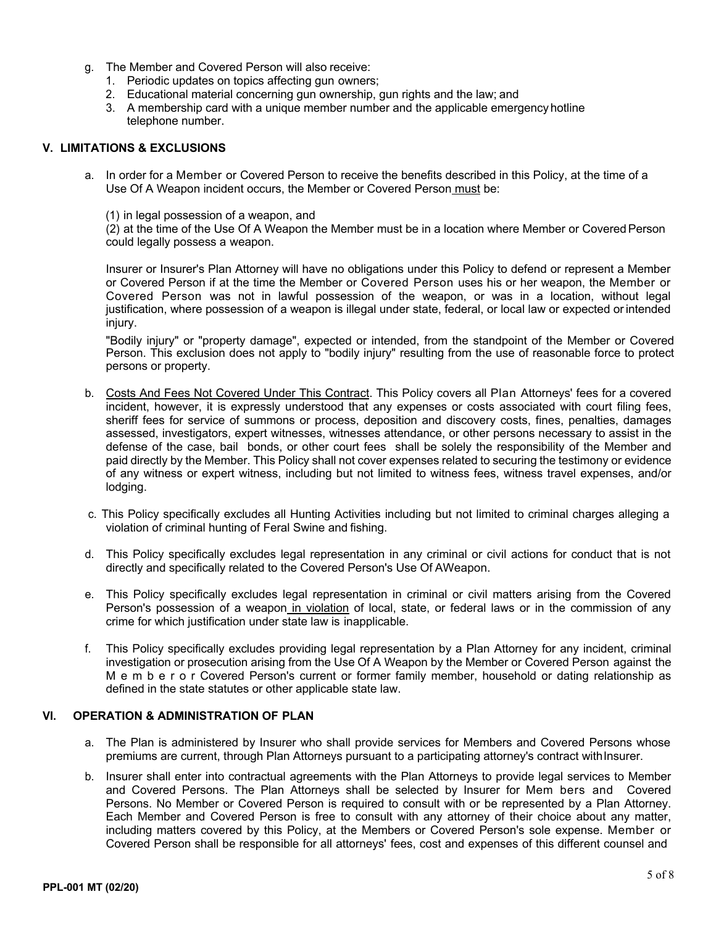- g. The Member and Covered Person will also receive:
	- 1. Periodic updates on topics affecting gun owners;
	- 2. Educational material concerning gun ownership, gun rights and the law; and
	- 3. A membership card with a unique member number and the applicable emergencyhotline telephone number.

### **V. LIMITATIONS & EXCLUSIONS**

- a. In order for a Member or Covered Person to receive the benefits described in this Policy, at the time of a Use Of A Weapon incident occurs, the Member or Covered Person must be:
	- (1) in legal possession of a weapon, and

(2) at the time of the Use Of A Weapon the Member must be in a location where Member or Covered Person could legally possess a weapon.

Insurer or Insurer's Plan Attorney will have no obligations under this Policy to defend or represent a Member or Covered Person if at the time the Member or Covered Person uses his or her weapon, the Member or Covered Person was not in lawful possession of the weapon, or was in a location, without legal justification, where possession of a weapon is illegal under state, federal, or local law or expected orintended injury.

"Bodily injury" or "property damage", expected or intended, from the standpoint of the Member or Covered Person. This exclusion does not apply to "bodily injury" resulting from the use of reasonable force to protect persons or property.

- b. Costs And Fees Not Covered Under This Contract. This Policy covers all Plan Attorneys' fees for a covered incident, however, it is expressly understood that any expenses or costs associated with court filing fees, sheriff fees for service of summons or process, deposition and discovery costs, fines, penalties, damages assessed, investigators, expert witnesses, witnesses attendance, or other persons necessary to assist in the defense of the case, bail bonds, or other court fees shall be solely the responsibility of the Member and paid directly by the Member. This Policy shall not cover expenses related to securing the testimony or evidence of any witness or expert witness, including but not limited to witness fees, witness travel expenses, and/or lodging.
- c. This Policy specifically excludes all Hunting Activities including but not limited to criminal charges alleging a violation of criminal hunting of Feral Swine and fishing.
- d. This Policy specifically excludes legal representation in any criminal or civil actions for conduct that is not directly and specifically related to the Covered Person's Use Of AWeapon.
- e. This Policy specifically excludes legal representation in criminal or civil matters arising from the Covered Person's possession of a weapon in violation of local, state, or federal laws or in the commission of any crime for which justification under state law is inapplicable.
- f. This Policy specifically excludes providing legal representation by a Plan Attorney for any incident, criminal investigation or prosecution arising from the Use Of A Weapon by the Member or Covered Person against the M e m b e r o r Covered Person's current or former family member, household or dating relationship as defined in the state statutes or other applicable state law.

#### **VI. OPERATION & ADMINISTRATION OF PLAN**

- a. The Plan is administered by Insurer who shall provide services for Members and Covered Persons whose premiums are current, through Plan Attorneys pursuant to a participating attorney's contract withInsurer.
- b. Insurer shall enter into contractual agreements with the Plan Attorneys to provide legal services to Member and Covered Persons. The Plan Attorneys shall be selected by Insurer for Mem bers and Covered Persons. No Member or Covered Person is required to consult with or be represented by a Plan Attorney. Each Member and Covered Person is free to consult with any attorney of their choice about any matter, including matters covered by this Policy, at the Members or Covered Person's sole expense. Member or Covered Person shall be responsible for all attorneys' fees, cost and expenses of this different counsel and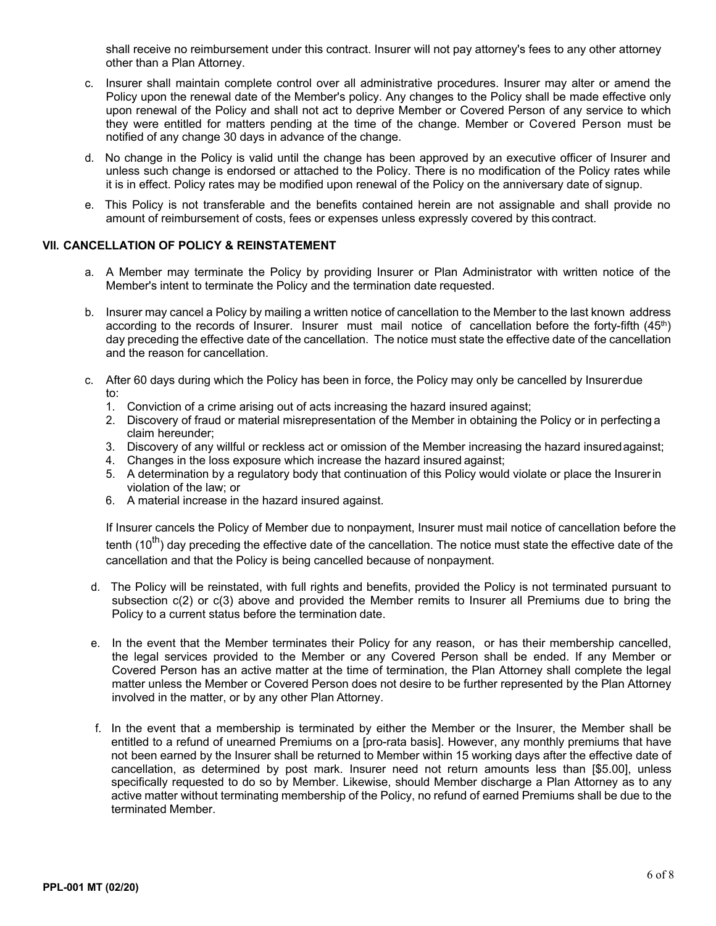shall receive no reimbursement under this contract. Insurer will not pay attorney's fees to any other attorney other than a Plan Attorney.

- c. Insurer shall maintain complete control over all administrative procedures. Insurer may alter or amend the Policy upon the renewal date of the Member's policy. Any changes to the Policy shall be made effective only upon renewal of the Policy and shall not act to deprive Member or Covered Person of any service to which they were entitled for matters pending at the time of the change. Member or Covered Person must be notified of any change 30 days in advance of the change.
- d. No change in the Policy is valid until the change has been approved by an executive officer of Insurer and unless such change is endorsed or attached to the Policy. There is no modification of the Policy rates while it is in effect. Policy rates may be modified upon renewal of the Policy on the anniversary date of signup.
- e. This Policy is not transferable and the benefits contained herein are not assignable and shall provide no amount of reimbursement of costs, fees or expenses unless expressly covered by this contract.

### **VII. CANCELLATION OF POLICY & REINSTATEMENT**

- a. A Member may terminate the Policy by providing Insurer or Plan Administrator with written notice of the Member's intent to terminate the Policy and the termination date requested.
- b. Insurer may cancel a Policy by mailing a written notice of cancellation to the Member to the last known address according to the records of Insurer. Insurer must mail notice of cancellation before the forty-fifth (45<sup>th</sup>) day preceding the effective date of the cancellation. The notice must state the effective date of the cancellation and the reason for cancellation.
- c. After 60 days during which the Policy has been in force, the Policy may only be cancelled by Insurerdue to:
	- 1. Conviction of a crime arising out of acts increasing the hazard insured against;
	- 2. Discovery of fraud or material misrepresentation of the Member in obtaining the Policy or in perfecting a claim hereunder;
	- 3. Discovery of any willful or reckless act or omission of the Member increasing the hazard insuredagainst;
	- 4. Changes in the loss exposure which increase the hazard insured against;
	- 5. A determination by a regulatory body that continuation of this Policy would violate or place the Insurerin violation of the law; or
	- 6. A material increase in the hazard insured against.

If Insurer cancels the Policy of Member due to nonpayment, Insurer must mail notice of cancellation before the tenth (10<sup>th</sup>) day preceding the effective date of the cancellation. The notice must state the effective date of the cancellation and that the Policy is being cancelled because of nonpayment.

- d. The Policy will be reinstated, with full rights and benefits, provided the Policy is not terminated pursuant to subsection c(2) or c(3) above and provided the Member remits to Insurer all Premiums due to bring the Policy to a current status before the termination date.
- e. In the event that the Member terminates their Policy for any reason, or has their membership cancelled, the legal services provided to the Member or any Covered Person shall be ended. If any Member or Covered Person has an active matter at the time of termination, the Plan Attorney shall complete the legal matter unless the Member or Covered Person does not desire to be further represented by the Plan Attorney involved in the matter, or by any other Plan Attorney.
- f. In the event that a membership is terminated by either the Member or the Insurer, the Member shall be entitled to a refund of unearned Premiums on a [pro-rata basis]. However, any monthly premiums that have not been earned by the Insurer shall be returned to Member within 15 working days after the effective date of cancellation, as determined by post mark. Insurer need not return amounts less than [\$5.00], unless specifically requested to do so by Member. Likewise, should Member discharge a Plan Attorney as to any active matter without terminating membership of the Policy, no refund of earned Premiums shall be due to the terminated Member.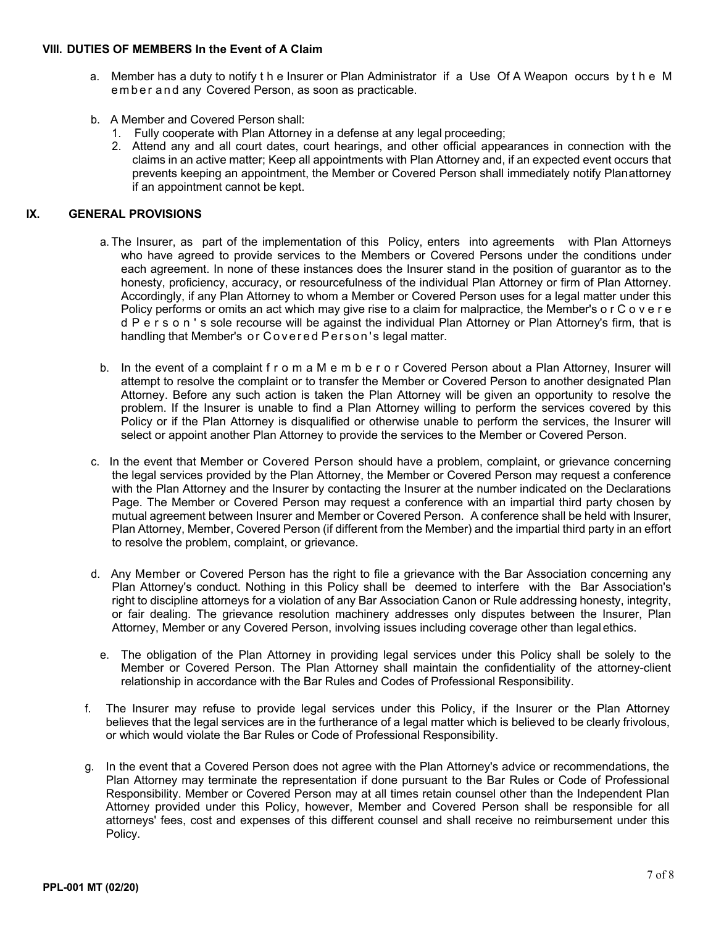#### **VIII. DUTIES OF MEMBERS In the Event of A Claim**

- a. Member has a duty to notify t h e Insurer or Plan Administrator if a Use Of A Weapon occurs by t h e M ember and any Covered Person, as soon as practicable.
- b. A Member and Covered Person shall:
	- 1. Fully cooperate with Plan Attorney in a defense at any legal proceeding;
	- 2. Attend any and all court dates, court hearings, and other official appearances in connection with the claims in an active matter; Keep all appointments with Plan Attorney and, if an expected event occurs that prevents keeping an appointment, the Member or Covered Person shall immediately notify Planattorney if an appointment cannot be kept.

#### **IX. GENERAL PROVISIONS**

- a. The Insurer, as part of the implementation of this Policy, enters into agreements with Plan Attorneys who have agreed to provide services to the Members or Covered Persons under the conditions under each agreement. In none of these instances does the Insurer stand in the position of guarantor as to the honesty, proficiency, accuracy, or resourcefulness of the individual Plan Attorney or firm of Plan Attorney. Accordingly, if any Plan Attorney to whom a Member or Covered Person uses for a legal matter under this Policy performs or omits an act which may give rise to a claim for malpractice, the Member's o r C o v e r e d P e r s o n ' s sole recourse will be against the individual Plan Attorney or Plan Attorney's firm, that is handling that Member's or Covered Person's legal matter.
- b. In the event of a complaint f r o m a M e m b e r o r Covered Person about a Plan Attorney, Insurer will attempt to resolve the complaint or to transfer the Member or Covered Person to another designated Plan Attorney. Before any such action is taken the Plan Attorney will be given an opportunity to resolve the problem. If the Insurer is unable to find a Plan Attorney willing to perform the services covered by this Policy or if the Plan Attorney is disqualified or otherwise unable to perform the services, the Insurer will select or appoint another Plan Attorney to provide the services to the Member or Covered Person.
- c. In the event that Member or Covered Person should have a problem, complaint, or grievance concerning the legal services provided by the Plan Attorney, the Member or Covered Person may request a conference with the Plan Attorney and the Insurer by contacting the Insurer at the number indicated on the Declarations Page. The Member or Covered Person may request a conference with an impartial third party chosen by mutual agreement between Insurer and Member or Covered Person. A conference shall be held with Insurer, Plan Attorney, Member, Covered Person (if different from the Member) and the impartial third party in an effort to resolve the problem, complaint, or grievance.
- d. Any Member or Covered Person has the right to file a grievance with the Bar Association concerning any Plan Attorney's conduct. Nothing in this Policy shall be deemed to interfere with the Bar Association's right to discipline attorneys for a violation of any Bar Association Canon or Rule addressing honesty, integrity, or fair dealing. The grievance resolution machinery addresses only disputes between the Insurer, Plan Attorney, Member or any Covered Person, involving issues including coverage other than legal ethics.
	- e. The obligation of the Plan Attorney in providing legal services under this Policy shall be solely to the Member or Covered Person. The Plan Attorney shall maintain the confidentiality of the attorney-client relationship in accordance with the Bar Rules and Codes of Professional Responsibility.
- f. The Insurer may refuse to provide legal services under this Policy, if the Insurer or the Plan Attorney believes that the legal services are in the furtherance of a legal matter which is believed to be clearly frivolous, or which would violate the Bar Rules or Code of Professional Responsibility.
- g. In the event that a Covered Person does not agree with the Plan Attorney's advice or recommendations, the Plan Attorney may terminate the representation if done pursuant to the Bar Rules or Code of Professional Responsibility. Member or Covered Person may at all times retain counsel other than the Independent Plan Attorney provided under this Policy, however, Member and Covered Person shall be responsible for all attorneys' fees, cost and expenses of this different counsel and shall receive no reimbursement under this Policy.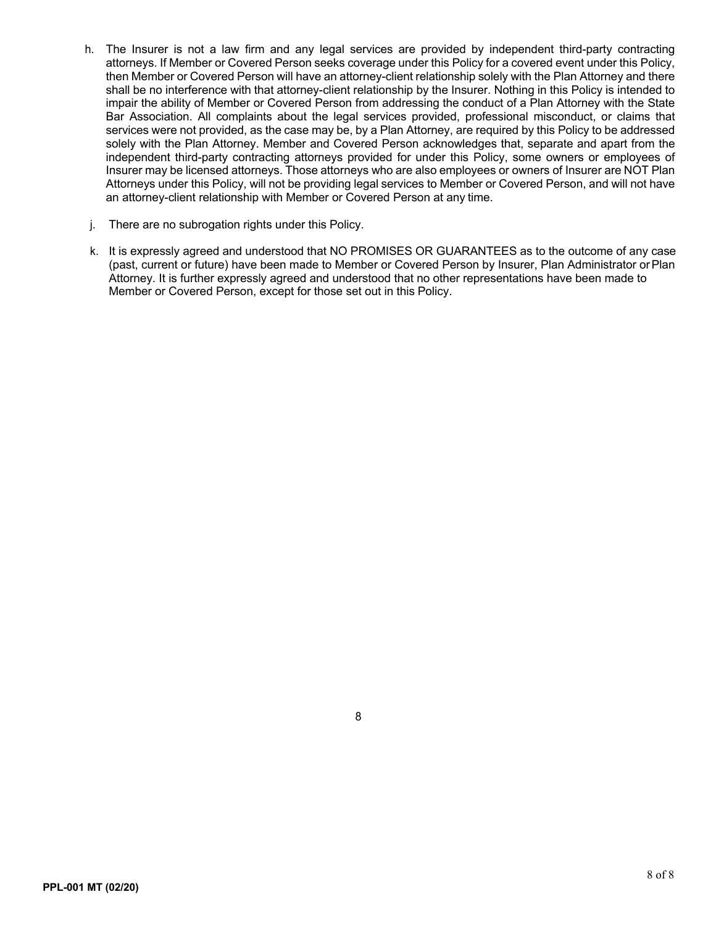- h. The Insurer is not a law firm and any legal services are provided by independent third-party contracting attorneys. If Member or Covered Person seeks coverage under this Policy for a covered event under this Policy, then Member or Covered Person will have an attorney-client relationship solely with the Plan Attorney and there shall be no interference with that attorney-client relationship by the Insurer. Nothing in this Policy is intended to impair the ability of Member or Covered Person from addressing the conduct of a Plan Attorney with the State Bar Association. All complaints about the legal services provided, professional misconduct, or claims that services were not provided, as the case may be, by a Plan Attorney, are required by this Policy to be addressed solely with the Plan Attorney. Member and Covered Person acknowledges that, separate and apart from the independent third-party contracting attorneys provided for under this Policy, some owners or employees of Insurer may be licensed attorneys. Those attorneys who are also employees or owners of Insurer are NOT Plan Attorneys under this Policy, will not be providing legal services to Member or Covered Person, and will not have an attorney-client relationship with Member or Covered Person at any time.
- j. There are no subrogation rights under this Policy.
- k. It is expressly agreed and understood that NO PROMISES OR GUARANTEES as to the outcome of any case (past, current or future) have been made to Member or Covered Person by Insurer, Plan Administrator orPlan Attorney. It is further expressly agreed and understood that no other representations have been made to Member or Covered Person, except for those set out in this Policy.

8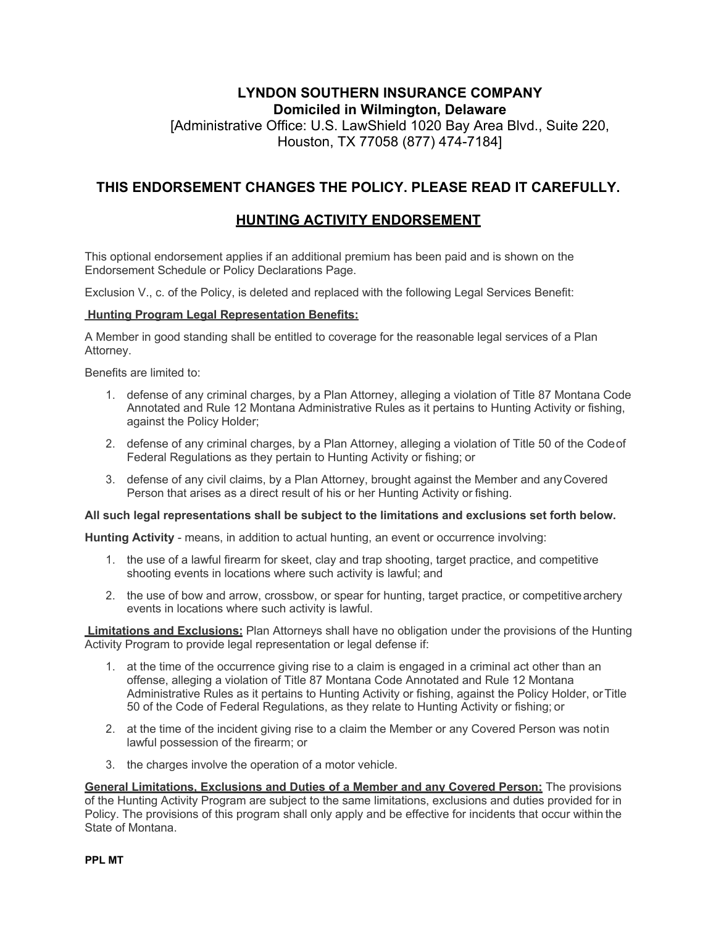# **LYNDON SOUTHERN INSURANCE COMPANY Domiciled in Wilmington, Delaware** [Administrative Office: U.S. LawShield 1020 Bay Area Blvd., Suite 220, Houston, TX 77058 (877) 474-7184]

# **THIS ENDORSEMENT CHANGES THE POLICY. PLEASE READ IT CAREFULLY.**

# **HUNTING ACTIVITY ENDORSEMENT**

This optional endorsement applies if an additional premium has been paid and is shown on the Endorsement Schedule or Policy Declarations Page.

Exclusion V., c. of the Policy, is deleted and replaced with the following Legal Services Benefit:

### **Hunting Program Legal Representation Benefits:**

A Member in good standing shall be entitled to coverage for the reasonable legal services of a Plan Attorney.

Benefits are limited to:

- 1. defense of any criminal charges, by a Plan Attorney, alleging a violation of Title 87 Montana Code Annotated and Rule 12 Montana Administrative Rules as it pertains to Hunting Activity or fishing, against the Policy Holder;
- 2. defense of any criminal charges, by a Plan Attorney, alleging a violation of Title 50 of the Codeof Federal Regulations as they pertain to Hunting Activity or fishing; or
- 3. defense of any civil claims, by a Plan Attorney, brought against the Member and anyCovered Person that arises as a direct result of his or her Hunting Activity or fishing.

#### **All such legal representations shall be subject to the limitations and exclusions set forth below.**

**Hunting Activity** - means, in addition to actual hunting, an event or occurrence involving:

- 1. the use of a lawful firearm for skeet, clay and trap shooting, target practice, and competitive shooting events in locations where such activity is lawful; and
- 2. the use of bow and arrow, crossbow, or spear for hunting, target practice, or competitivearchery events in locations where such activity is lawful.

**Limitations and Exclusions:** Plan Attorneys shall have no obligation under the provisions of the Hunting Activity Program to provide legal representation or legal defense if:

- 1. at the time of the occurrence giving rise to a claim is engaged in a criminal act other than an offense, alleging a violation of Title 87 Montana Code Annotated and Rule 12 Montana Administrative Rules as it pertains to Hunting Activity or fishing, against the Policy Holder, orTitle 50 of the Code of Federal Regulations, as they relate to Hunting Activity or fishing; or
- 2. at the time of the incident giving rise to a claim the Member or any Covered Person was notin lawful possession of the firearm; or
- 3. the charges involve the operation of a motor vehicle.

**General Limitations, Exclusions and Duties of a Member and any Covered Person:** The provisions of the Hunting Activity Program are subject to the same limitations, exclusions and duties provided for in Policy. The provisions of this program shall only apply and be effective for incidents that occur within the State of Montana.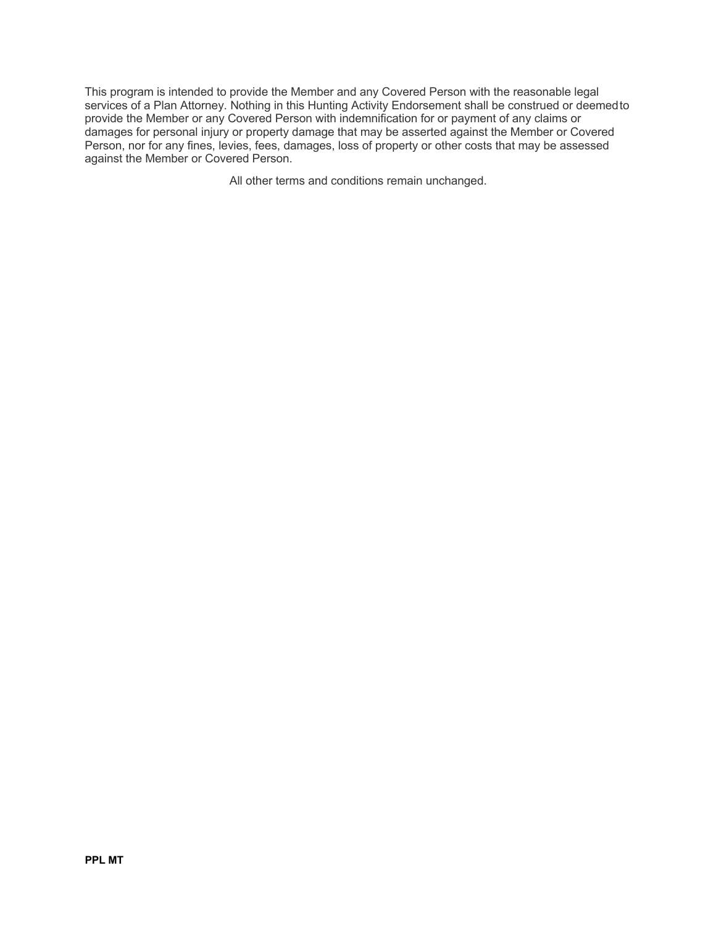This program is intended to provide the Member and any Covered Person with the reasonable legal services of a Plan Attorney. Nothing in this Hunting Activity Endorsement shall be construed or deemed to provide the Member or any Covered Person with indemnification for or payment of any claims or damages for personal injury or property damage that may be asserted against the Member or Covered Person, nor for any fines, levies, fees, damages, loss of property or other costs that may be assessed against the Member or Covered Person.

All other terms and conditions remain unchanged.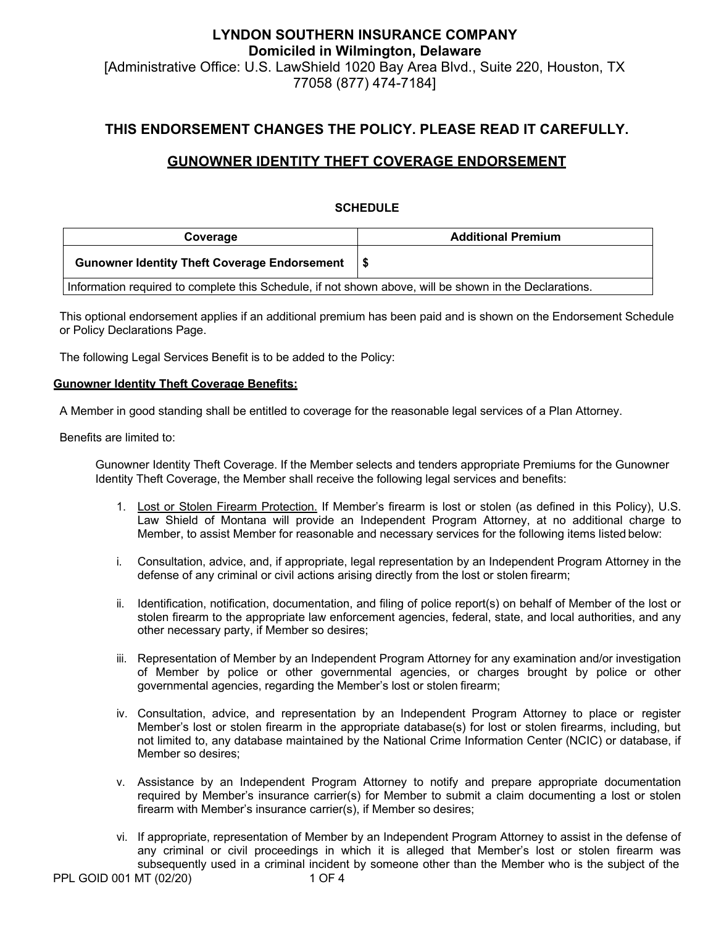# **LYNDON SOUTHERN INSURANCE COMPANY Domiciled in Wilmington, Delaware** [Administrative Office: U.S. LawShield 1020 Bay Area Blvd., Suite 220, Houston, TX 77058 (877) 474-7184]

## **THIS ENDORSEMENT CHANGES THE POLICY. PLEASE READ IT CAREFULLY.**

## **GUNOWNER IDENTITY THEFT COVERAGE ENDORSEMENT**

### **SCHEDULE**

| Coverage                                                                                               | <b>Additional Premium</b> |  |  |
|--------------------------------------------------------------------------------------------------------|---------------------------|--|--|
| <b>Gunowner Identity Theft Coverage Endorsement</b>                                                    |                           |  |  |
| Information required to complete this Schedule, if not shown above, will be shown in the Declarations. |                           |  |  |

This optional endorsement applies if an additional premium has been paid and is shown on the Endorsement Schedule or Policy Declarations Page.

The following Legal Services Benefit is to be added to the Policy:

#### **Gunowner Identity Theft Coverage Benefits:**

A Member in good standing shall be entitled to coverage for the reasonable legal services of a Plan Attorney.

Benefits are limited to:

Gunowner Identity Theft Coverage. If the Member selects and tenders appropriate Premiums for the Gunowner Identity Theft Coverage, the Member shall receive the following legal services and benefits:

- 1. Lost or Stolen Firearm Protection. If Member's firearm is lost or stolen (as defined in this Policy), U.S. Law Shield of Montana will provide an Independent Program Attorney, at no additional charge to Member, to assist Member for reasonable and necessary services for the following items listed below:
- i. Consultation, advice, and, if appropriate, legal representation by an Independent Program Attorney in the defense of any criminal or civil actions arising directly from the lost or stolen firearm;
- ii. Identification, notification, documentation, and filing of police report(s) on behalf of Member of the lost or stolen firearm to the appropriate law enforcement agencies, federal, state, and local authorities, and any other necessary party, if Member so desires;
- iii. Representation of Member by an Independent Program Attorney for any examination and/or investigation of Member by police or other governmental agencies, or charges brought by police or other governmental agencies, regarding the Member's lost or stolen firearm;
- iv. Consultation, advice, and representation by an Independent Program Attorney to place or register Member's lost or stolen firearm in the appropriate database(s) for lost or stolen firearms, including, but not limited to, any database maintained by the National Crime Information Center (NCIC) or database, if Member so desires;
- v. Assistance by an Independent Program Attorney to notify and prepare appropriate documentation required by Member's insurance carrier(s) for Member to submit a claim documenting a lost or stolen firearm with Member's insurance carrier(s), if Member so desires;
- vi. If appropriate, representation of Member by an Independent Program Attorney to assist in the defense of any criminal or civil proceedings in which it is alleged that Member's lost or stolen firearm was subsequently used in a criminal incident by someone other than the Member who is the subject of the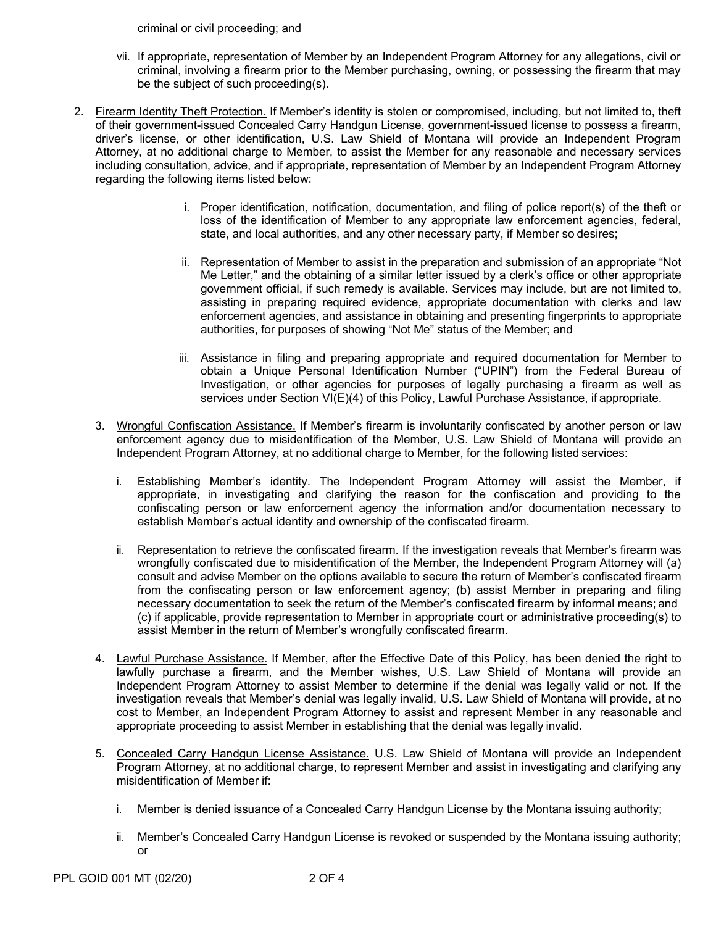criminal or civil proceeding; and

- vii. If appropriate, representation of Member by an Independent Program Attorney for any allegations, civil or criminal, involving a firearm prior to the Member purchasing, owning, or possessing the firearm that may be the subject of such proceeding(s).
- 2. Firearm Identity Theft Protection. If Member's identity is stolen or compromised, including, but not limited to, theft of their government-issued Concealed Carry Handgun License, government-issued license to possess a firearm, driver's license, or other identification, U.S. Law Shield of Montana will provide an Independent Program Attorney, at no additional charge to Member, to assist the Member for any reasonable and necessary services including consultation, advice, and if appropriate, representation of Member by an Independent Program Attorney regarding the following items listed below:
	- i. Proper identification, notification, documentation, and filing of police report(s) of the theft or loss of the identification of Member to any appropriate law enforcement agencies, federal, state, and local authorities, and any other necessary party, if Member so desires;
	- ii. Representation of Member to assist in the preparation and submission of an appropriate "Not Me Letter," and the obtaining of a similar letter issued by a clerk's office or other appropriate government official, if such remedy is available. Services may include, but are not limited to, assisting in preparing required evidence, appropriate documentation with clerks and law enforcement agencies, and assistance in obtaining and presenting fingerprints to appropriate authorities, for purposes of showing "Not Me" status of the Member; and
	- iii. Assistance in filing and preparing appropriate and required documentation for Member to obtain a Unique Personal Identification Number ("UPIN") from the Federal Bureau of Investigation, or other agencies for purposes of legally purchasing a firearm as well as services under Section VI(E)(4) of this Policy, Lawful Purchase Assistance, if appropriate.
	- 3. Wrongful Confiscation Assistance. If Member's firearm is involuntarily confiscated by another person or law enforcement agency due to misidentification of the Member, U.S. Law Shield of Montana will provide an Independent Program Attorney, at no additional charge to Member, for the following listed services:
		- i. Establishing Member's identity. The Independent Program Attorney will assist the Member, if appropriate, in investigating and clarifying the reason for the confiscation and providing to the confiscating person or law enforcement agency the information and/or documentation necessary to establish Member's actual identity and ownership of the confiscated firearm.
		- ii. Representation to retrieve the confiscated firearm. If the investigation reveals that Member's firearm was wrongfully confiscated due to misidentification of the Member, the Independent Program Attorney will (a) consult and advise Member on the options available to secure the return of Member's confiscated firearm from the confiscating person or law enforcement agency; (b) assist Member in preparing and filing necessary documentation to seek the return of the Member's confiscated firearm by informal means; and (c) if applicable, provide representation to Member in appropriate court or administrative proceeding(s) to assist Member in the return of Member's wrongfully confiscated firearm.
	- 4. Lawful Purchase Assistance. If Member, after the Effective Date of this Policy, has been denied the right to lawfully purchase a firearm, and the Member wishes, U.S. Law Shield of Montana will provide an Independent Program Attorney to assist Member to determine if the denial was legally valid or not. If the investigation reveals that Member's denial was legally invalid, U.S. Law Shield of Montana will provide, at no cost to Member, an Independent Program Attorney to assist and represent Member in any reasonable and appropriate proceeding to assist Member in establishing that the denial was legally invalid.
	- 5. Concealed Carry Handgun License Assistance. U.S. Law Shield of Montana will provide an Independent Program Attorney, at no additional charge, to represent Member and assist in investigating and clarifying any misidentification of Member if:
		- i. Member is denied issuance of a Concealed Carry Handgun License by the Montana issuing authority;
		- ii. Member's Concealed Carry Handgun License is revoked or suspended by the Montana issuing authority; or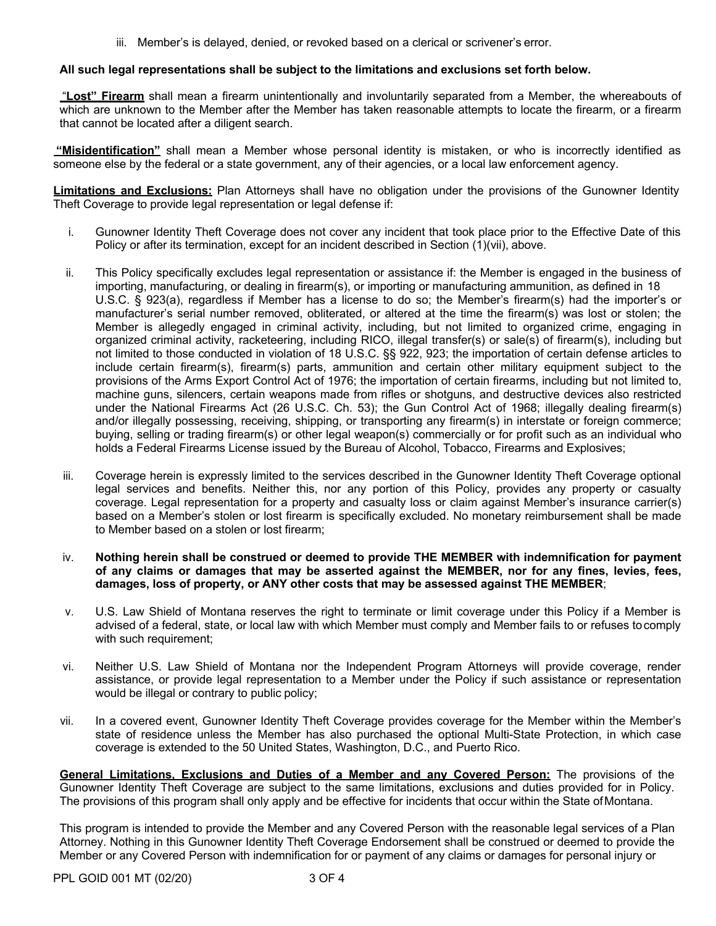iii. Member's is delayed, denied, or revoked based on a clerical or scrivener's error.

#### **All such legal representations shall be subject to the limitations and exclusions set forth below.**

"**Lost" Firearm** shall mean a firearm unintentionally and involuntarily separated from a Member, the whereabouts of which are unknown to the Member after the Member has taken reasonable attempts to locate the firearm, or a firearm that cannot be located after a diligent search.

**"Misidentification"** shall mean a Member whose personal identity is mistaken, or who is incorrectly identified as someone else by the federal or a state government, any of their agencies, or a local law enforcement agency.

**Limitations and Exclusions:** Plan Attorneys shall have no obligation under the provisions of the Gunowner Identity Theft Coverage to provide legal representation or legal defense if:

- i. Gunowner Identity Theft Coverage does not cover any incident that took place prior to the Effective Date of this Policy or after its termination, except for an incident described in Section (1)(vii), above.
- ii. This Policy specifically excludes legal representation or assistance if: the Member is engaged in the business of importing, manufacturing, or dealing in firearm(s), or importing or manufacturing ammunition, as defined in 18 U.S.C. § 923(a), regardless if Member has a license to do so; the Member's firearm(s) had the importer's or manufacturer's serial number removed, obliterated, or altered at the time the firearm(s) was lost or stolen; the Member is allegedly engaged in criminal activity, including, but not limited to organized crime, engaging in organized criminal activity, racketeering, including RICO, illegal transfer(s) or sale(s) of firearm(s), including but not limited to those conducted in violation of 18 U.S.C. §§ 922, 923; the importation of certain defense articles to include certain firearm(s), firearm(s) parts, ammunition and certain other military equipment subject to the provisions of the Arms Export Control Act of 1976; the importation of certain firearms, including but not limited to, machine guns, silencers, certain weapons made from rifles or shotguns, and destructive devices also restricted under the National Firearms Act (26 U.S.C. Ch. 53); the Gun Control Act of 1968; illegally dealing firearm(s) and/or illegally possessing, receiving, shipping, or transporting any firearm(s) in interstate or foreign commerce; buying, selling or trading firearm(s) or other legal weapon(s) commercially or for profit such as an individual who holds a Federal Firearms License issued by the Bureau of Alcohol, Tobacco, Firearms and Explosives;
- iii. Coverage herein is expressly limited to the services described in the Gunowner Identity Theft Coverage optional legal services and benefits. Neither this, nor any portion of this Policy, provides any property or casualty coverage. Legal representation for a property and casualty loss or claim against Member's insurance carrier(s) based on a Member's stolen or lost firearm is specifically excluded. No monetary reimbursement shall be made to Member based on a stolen or lost firearm;
- iv. **Nothing herein shall be construed or deemed to provide THE MEMBER with indemnification for payment of any claims or damages that may be asserted against the MEMBER, nor for any fines, levies, fees, damages, loss of property, or ANY other costs that may be assessed against THE MEMBER**;
- v. U.S. Law Shield of Montana reserves the right to terminate or limit coverage under this Policy if a Member is advised of a federal, state, or local law with which Member must comply and Member fails to or refuses tocomply with such requirement;
- vi. Neither U.S. Law Shield of Montana nor the Independent Program Attorneys will provide coverage, render assistance, or provide legal representation to a Member under the Policy if such assistance or representation would be illegal or contrary to public policy;
- vii. In a covered event, Gunowner Identity Theft Coverage provides coverage for the Member within the Member's state of residence unless the Member has also purchased the optional Multi-State Protection, in which case coverage is extended to the 50 United States, Washington, D.C., and Puerto Rico.

**General Limitations, Exclusions and Duties of a Member and any Covered Person:** The provisions of the Gunowner Identity Theft Coverage are subject to the same limitations, exclusions and duties provided for in Policy. The provisions of this program shall only apply and be effective for incidents that occur within the State ofMontana.

This program is intended to provide the Member and any Covered Person with the reasonable legal services of a Plan Attorney. Nothing in this Gunowner Identity Theft Coverage Endorsement shall be construed or deemed to provide the Member or any Covered Person with indemnification for or payment of any claims or damages for personal injury or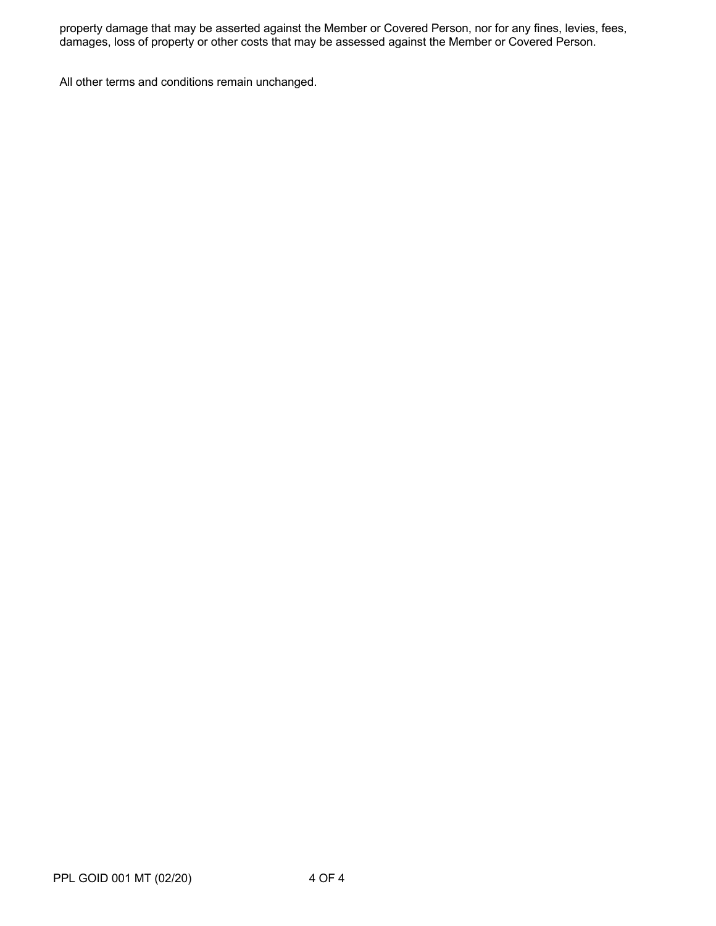property damage that may be asserted against the Member or Covered Person, nor for any fines, levies, fees, damages, loss of property or other costs that may be assessed against the Member or Covered Person.

All other terms and conditions remain unchanged.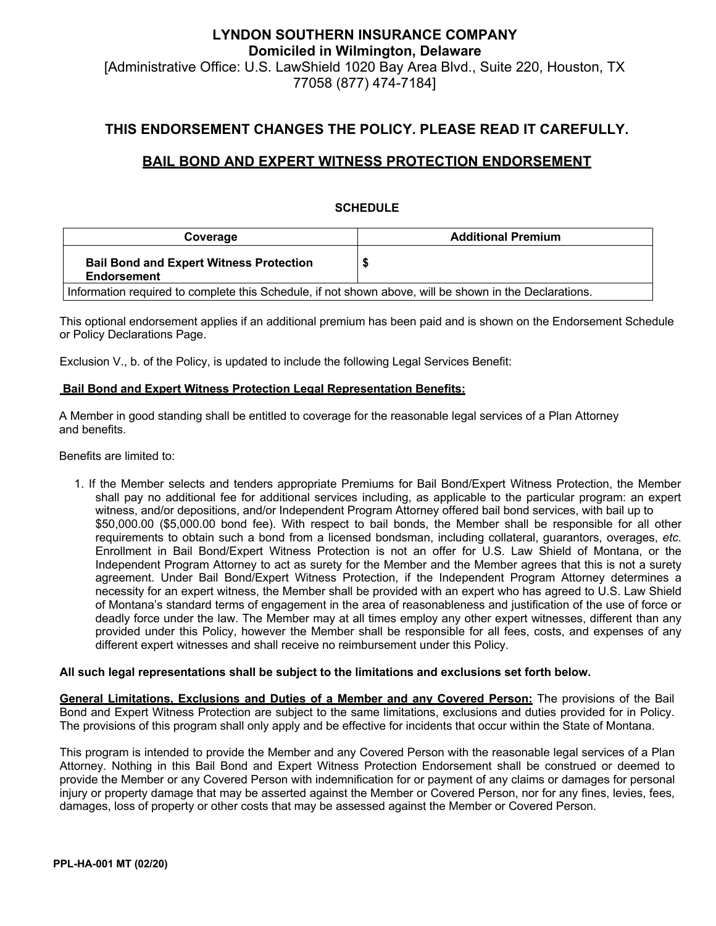# **LYNDON SOUTHERN INSURANCE COMPANY Domiciled in Wilmington, Delaware** [Administrative Office: U.S. LawShield 1020 Bay Area Blvd., Suite 220, Houston, TX 77058 (877) 474-7184]

## **THIS ENDORSEMENT CHANGES THE POLICY. PLEASE READ IT CAREFULLY.**

## **BAIL BOND AND EXPERT WITNESS PROTECTION ENDORSEMENT**

### **SCHEDULE**

| Coverage                                                                                               | <b>Additional Premium</b> |  |  |
|--------------------------------------------------------------------------------------------------------|---------------------------|--|--|
| <b>Bail Bond and Expert Witness Protection</b><br><b>Endorsement</b>                                   |                           |  |  |
| Information required to complete this Schedule, if not shown above, will be shown in the Declarations. |                           |  |  |

This optional endorsement applies if an additional premium has been paid and is shown on the Endorsement Schedule or Policy Declarations Page.

Exclusion V., b. of the Policy, is updated to include the following Legal Services Benefit:

### **Bail Bond and Expert Witness Protection Legal Representation Benefits:**

A Member in good standing shall be entitled to coverage for the reasonable legal services of a Plan Attorney and benefits.

Benefits are limited to:

1. If the Member selects and tenders appropriate Premiums for Bail Bond/Expert Witness Protection, the Member shall pay no additional fee for additional services including, as applicable to the particular program: an expert witness, and/or depositions, and/or Independent Program Attorney offered bail bond services, with bail up to \$50,000.00 (\$5,000.00 bond fee). With respect to bail bonds, the Member shall be responsible for all other requirements to obtain such a bond from a licensed bondsman, including collateral, guarantors, overages, *etc*. Enrollment in Bail Bond/Expert Witness Protection is not an offer for U.S. Law Shield of Montana, or the Independent Program Attorney to act as surety for the Member and the Member agrees that this is not a surety agreement. Under Bail Bond/Expert Witness Protection, if the Independent Program Attorney determines a necessity for an expert witness, the Member shall be provided with an expert who has agreed to U.S. Law Shield of Montana's standard terms of engagement in the area of reasonableness and justification of the use of force or deadly force under the law. The Member may at all times employ any other expert witnesses, different than any provided under this Policy, however the Member shall be responsible for all fees, costs, and expenses of any different expert witnesses and shall receive no reimbursement under this Policy.

#### **All such legal representations shall be subject to the limitations and exclusions set forth below.**

**General Limitations, Exclusions and Duties of a Member and any Covered Person:** The provisions of the Bail Bond and Expert Witness Protection are subject to the same limitations, exclusions and duties provided for in Policy. The provisions of this program shall only apply and be effective for incidents that occur within the State of Montana.

This program is intended to provide the Member and any Covered Person with the reasonable legal services of a Plan Attorney. Nothing in this Bail Bond and Expert Witness Protection Endorsement shall be construed or deemed to provide the Member or any Covered Person with indemnification for or payment of any claims or damages for personal injury or property damage that may be asserted against the Member or Covered Person, nor for any fines, levies, fees, damages, loss of property or other costs that may be assessed against the Member or Covered Person.